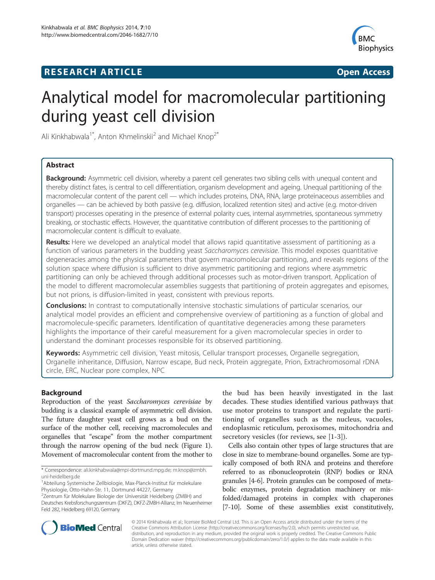## **RESEARCH ARTICLE Example 2018 12:00 Department of the CONNECTION CONNECTION CONNECTION CONNECTION**



# Analytical model for macromolecular partitioning during yeast cell division

Ali Kinkhabwala<sup>1\*</sup>, Anton Khmelinskii<sup>2</sup> and Michael Knop<sup>2\*</sup>

## Abstract

Background: Asymmetric cell division, whereby a parent cell generates two sibling cells with unequal content and thereby distinct fates, is central to cell differentiation, organism development and ageing. Unequal partitioning of the macromolecular content of the parent cell — which includes proteins, DNA, RNA, large proteinaceous assemblies and organelles — can be achieved by both passive (e.g. diffusion, localized retention sites) and active (e.g. motor-driven transport) processes operating in the presence of external polarity cues, internal asymmetries, spontaneous symmetry breaking, or stochastic effects. However, the quantitative contribution of different processes to the partitioning of macromolecular content is difficult to evaluate.

Results: Here we developed an analytical model that allows rapid quantitative assessment of partitioning as a function of various parameters in the budding yeast Saccharomyces cerevisiae. This model exposes quantitative degeneracies among the physical parameters that govern macromolecular partitioning, and reveals regions of the solution space where diffusion is sufficient to drive asymmetric partitioning and regions where asymmetric partitioning can only be achieved through additional processes such as motor-driven transport. Application of the model to different macromolecular assemblies suggests that partitioning of protein aggregates and episomes, but not prions, is diffusion-limited in yeast, consistent with previous reports.

**Conclusions:** In contrast to computationally intensive stochastic simulations of particular scenarios, our analytical model provides an efficient and comprehensive overview of partitioning as a function of global and macromolecule-specific parameters. Identification of quantitative degeneracies among these parameters highlights the importance of their careful measurement for a given macromolecular species in order to understand the dominant processes responsible for its observed partitioning.

Keywords: Asymmetric cell division, Yeast mitosis, Cellular transport processes, Organelle segregation, Organelle inheritance, Diffusion, Narrow escape, Bud neck, Protein aggregate, Prion, Extrachromosomal rDNA circle, ERC, Nuclear pore complex, NPC

## Background

Reproduction of the yeast Saccharomyces cerevisiae by budding is a classical example of asymmetric cell division. The future daughter yeast cell grows as a bud on the surface of the mother cell, receiving macromolecules and organelles that "escape" from the mother compartment through the narrow opening of the bud neck (Figure [1](#page-1-0)). Movement of macromolecular content from the mother to

2 Zentrum für Molekulare Biologie der Universität Heidelberg (ZMBH) and Deutsches Krebsforschungszentrum (DKFZ), DKFZ-ZMBH-Allianz, Im Neuenheimer Feld 282, Heidelberg 69120, Germany

the bud has been heavily investigated in the last decades. These studies identified various pathways that use motor proteins to transport and regulate the partitioning of organelles such as the nucleus, vacuoles, endoplasmic reticulum, peroxisomes, mitochondria and secretory vesicles (for reviews, see [[1](#page-8-0)-[3\]](#page-8-0)).

Cells also contain other types of large structures that are close in size to membrane-bound organelles. Some are typically composed of both RNA and proteins and therefore referred to as ribonucleoprotein (RNP) bodies or RNA granules [[4-6\]](#page-8-0). Protein granules can be composed of metabolic enzymes, protein degradation machinery or misfolded/damaged proteins in complex with chaperones [[7-10](#page-8-0)]. Some of these assemblies exist constitutively,



© 2014 Kinkhabwala et al.; licensee BioMed Central Ltd. This is an Open Access article distributed under the terms of the Creative Commons Attribution License (<http://creativecommons.org/licenses/by/2.0>), which permits unrestricted use, distribution, and reproduction in any medium, provided the original work is properly credited. The Creative Commons Public Domain Dedication waiver [\(http://creativecommons.org/publicdomain/zero/1.0/\)](http://creativecommons.org/publicdomain/zero/1.0/) applies to the data made available in this article, unless otherwise stated.

<sup>\*</sup> Correspondence: [ali.kinkhabwala@mpi-dortmund.mpg.de](mailto:ali.kinkhabwala@mpi-dortmund.mpg.de); [m.knop@zmbh.](mailto:m.knop@zmbh.uni-heidelberg.de) [uni-heidelberg.de](mailto:m.knop@zmbh.uni-heidelberg.de)

<sup>1</sup> Abteilung Systemische Zellbiologie, Max-Planck-Institut für molekulare Physiologie, Otto-Hahn-Str. 11, Dortmund 44227, Germany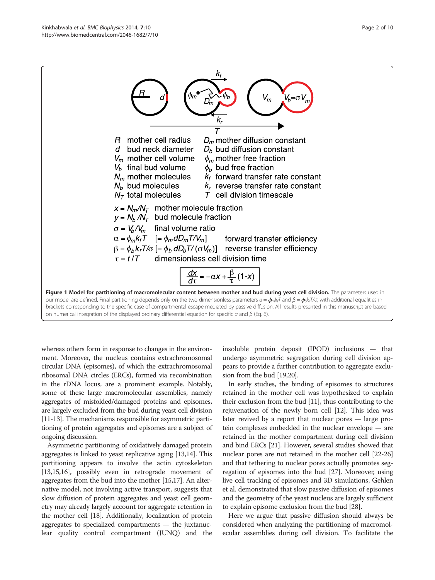<span id="page-1-0"></span>

whereas others form in response to changes in the environment. Moreover, the nucleus contains extrachromosomal circular DNA (episomes), of which the extrachromosomal ribosomal DNA circles (ERCs), formed via recombination in the rDNA locus, are a prominent example. Notably, some of these large macromolecular assemblies, namely aggregates of misfolded/damaged proteins and episomes, are largely excluded from the bud during yeast cell division [[11](#page-8-0)-[13](#page-8-0)]. The mechanisms responsible for asymmetric partitioning of protein aggregates and episomes are a subject of ongoing discussion.

Asymmetric partitioning of oxidatively damaged protein aggregates is linked to yeast replicative aging [\[13,14\]](#page-8-0). This partitioning appears to involve the actin cytoskeleton [[13,15,16\]](#page-8-0), possibly even in retrograde movement of aggregates from the bud into the mother [\[15,17\]](#page-8-0). An alternative model, not involving active transport, suggests that slow diffusion of protein aggregates and yeast cell geometry may already largely account for aggregate retention in the mother cell [[18\]](#page-8-0). Additionally, localization of protein aggregates to specialized compartments — the juxtanuclear quality control compartment (JUNQ) and the insoluble protein deposit (IPOD) inclusions — that undergo asymmetric segregation during cell division appears to provide a further contribution to aggregate exclusion from the bud [\[19,20\]](#page-8-0).

In early studies, the binding of episomes to structures retained in the mother cell was hypothesized to explain their exclusion from the bud [\[11\]](#page-8-0), thus contributing to the rejuvenation of the newly born cell [\[12\]](#page-8-0). This idea was later revived by a report that nuclear pores — large protein complexes embedded in the nuclear envelope — are retained in the mother compartment during cell division and bind ERCs [\[21\]](#page-8-0). However, several studies showed that nuclear pores are not retained in the mother cell [[22](#page-8-0)-[26](#page-8-0)] and that tethering to nuclear pores actually promotes segregation of episomes into the bud [[27](#page-8-0)]. Moreover, using live cell tracking of episomes and 3D simulations, Gehlen et al. demonstrated that slow passive diffusion of episomes and the geometry of the yeast nucleus are largely sufficient to explain episome exclusion from the bud [\[28\]](#page-8-0).

Here we argue that passive diffusion should always be considered when analyzing the partitioning of macromolecular assemblies during cell division. To facilitate the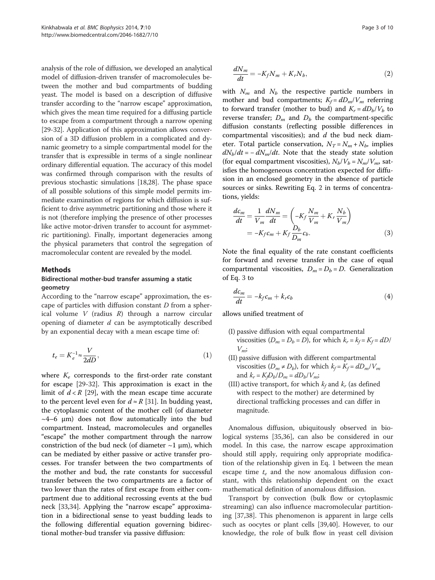<span id="page-2-0"></span>analysis of the role of diffusion, we developed an analytical model of diffusion-driven transfer of macromolecules between the mother and bud compartments of budding yeast. The model is based on a description of diffusive transfer according to the "narrow escape" approximation, which gives the mean time required for a diffusing particle to escape from a compartment through a narrow opening [[29](#page-8-0)-[32\]](#page-8-0). Application of this approximation allows conversion of a 3D diffusion problem in a complicated and dynamic geometry to a simple compartmental model for the transfer that is expressible in terms of a single nonlinear ordinary differential equation. The accuracy of this model was confirmed through comparison with the results of previous stochastic simulations [\[18,28\]](#page-8-0). The phase space of all possible solutions of this simple model permits immediate examination of regions for which diffusion is sufficient to drive asymmetric partitioning and those where it is not (therefore implying the presence of other processes like active motor-driven transfer to account for asymmetric partitioning). Finally, important degeneracies among the physical parameters that control the segregation of macromolecular content are revealed by the model.

## Methods

## Bidirectional mother-bud transfer assuming a static geometry

According to the "narrow escape" approximation, the escape of particles with diffusion constant  $D$  from a spherical volume  $V$  (radius  $R$ ) through a narrow circular opening of diameter  $d$  can be asymptotically described by an exponential decay with a mean escape time of:

$$
t_e = K_e^{-1} \approx \frac{V}{2dD},\tag{1}
$$

where  $K_e$  corresponds to the first-order rate constant for escape [\[29](#page-8-0)-[32\]](#page-8-0). This approximation is exact in the limit of  $d < R$  [\[29](#page-8-0)], with the mean escape time accurate to the percent level even for  $d \approx R$  [[31\]](#page-8-0). In budding yeast, the cytoplasmic content of the mother cell (of diameter  $\sim$ 4–6  $\mu$ m) does not flow automatically into the bud compartment. Instead, macromolecules and organelles "escape" the mother compartment through the narrow constriction of the bud neck (of diameter  $\sim$ 1  $\mu$ m), which can be mediated by either passive or active transfer processes. For transfer between the two compartments of the mother and bud, the rate constants for successful transfer between the two compartments are a factor of two lower than the rates of first escape from either compartment due to additional recrossing events at the bud neck [\[33,34\]](#page-8-0). Applying the "narrow escape" approximation in a bidirectional sense to yeast budding leads to the following differential equation governing bidirectional mother-bud transfer via passive diffusion:

$$
\frac{dN_m}{dt} = -K_f N_m + K_r N_b,\tag{2}
$$

with  $N_m$  and  $N_b$  the respective particle numbers in mother and bud compartments;  $K_f = dD_m/V_m$  referring to forward transfer (mother to bud) and  $K_r = dD_b/V_b$  to reverse transfer;  $D_m$  and  $D_b$  the compartment-specific diffusion constants (reflecting possible differences in compartmental viscosities); and  $d$  the bud neck diameter. Total particle conservation,  $N_T = N_m + N_b$ , implies  $dN_b/dt = - dN_m/dt$ . Note that the steady state solution (for equal compartment viscosities),  $N_b/V_b = N_m/V_m$ , satisfies the homogeneous concentration expected for diffusion in an enclosed geometry in the absence of particle sources or sinks. Rewriting Eq. 2 in terms of concentrations, yields:

$$
\frac{dc_m}{dt} = \frac{1}{V_m} \frac{dN_m}{dt} = \left(-K_f \frac{N_m}{V_m} + K_r \frac{N_b}{V_m}\right)
$$

$$
= -K_f c_m + K_f \frac{D_b}{D_m} c_b.
$$
\n(3)

Note the final equality of the rate constant coefficients for forward and reverse transfer in the case of equal compartmental viscosities,  $D_m = D_b = D$ . Generalization of Eq. 3 to

$$
\frac{dc_m}{dt} = -k_f c_m + k_r c_b \tag{4}
$$

allows unified treatment of

- (I) passive diffusion with equal compartmental viscosities  $(D_m = D_b = D)$ , for which  $k_r = k_f = K_f = dD/$  $V_{\mathfrak{m}}$ ;
- (II) passive diffusion with different compartmental viscosities  $(D_m \neq D_b)$ , for which  $k_f = K_f = dD_m/V_m$ and  $k_r = K_p D_b / D_m = d D_b / V_m$ ;
- (III) active transport, for which  $k_f$  and  $k_r$  (as defined with respect to the mother) are determined by directional trafficking processes and can differ in magnitude.

Anomalous diffusion, ubiquitously observed in biological systems [[35](#page-8-0),[36](#page-8-0)], can also be considered in our model. In this case, the narrow escape approximation should still apply, requiring only appropriate modification of the relationship given in Eq. 1 between the mean escape time  $t_e$  and the now anomalous diffusion constant, with this relationship dependent on the exact mathematical definition of anomalous diffusion.

Transport by convection (bulk flow or cytoplasmic streaming) can also influence macromolecular partitioning [\[37](#page-8-0)[,38](#page-9-0)]. This phenomenon is apparent in large cells such as oocytes or plant cells [\[39,40\]](#page-9-0). However, to our knowledge, the role of bulk flow in yeast cell division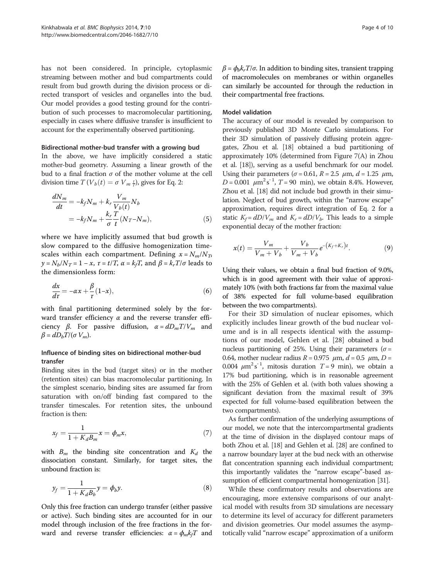<span id="page-3-0"></span>has not been considered. In principle, cytoplasmic streaming between mother and bud compartments could result from bud growth during the division process or directed transport of vesicles and organelles into the bud. Our model provides a good testing ground for the contribution of such processes to macromolecular partitioning, especially in cases where diffusive transfer is insufficient to account for the experimentally observed partitioning.

## Bidirectional mother-bud transfer with a growing bud

In the above, we have implicitly considered a static mother-bud geometry. Assuming a linear growth of the bud to a final fraction  $\sigma$  of the mother volume at the cell division time  $T(V_b(t) = \sigma V_m \frac{t}{T})$ , gives for Eq. [2:](#page-2-0)

$$
\frac{dN_m}{dt} = -k_f N_m + k_r \frac{V_m}{V_b(t)} N_b
$$

$$
= -k_f N_m + \frac{k_r T}{\sigma t} (N_T - N_m),
$$
(5)

where we have implicitly assumed that bud growth is slow compared to the diffusive homogenization timescales within each compartment. Defining  $x = N_m/N_T$ ,  $y = N_b/N_T = 1 - x$ ,  $\tau = t/T$ ,  $\alpha = k_fT$ , and  $\beta = k_rT/\sigma$  leads to the dimensionless form:

$$
\frac{dx}{dt} = -\alpha x + \frac{\beta}{\tau} (1 - x),\tag{6}
$$

with final partitioning determined solely by the forward transfer efficiency  $\alpha$  and the reverse transfer efficiency  $\beta$ . For passive diffusion,  $\alpha = dD_m T/V_m$  and  $\beta = dD_bT/(\sigma V_m)$ .

## Influence of binding sites on bidirectional mother-bud transfer

Binding sites in the bud (target sites) or in the mother (retention sites) can bias macromolecular partitioning. In the simplest scenario, binding sites are assumed far from saturation with on/off binding fast compared to the transfer timescales. For retention sites, the unbound fraction is then:

$$
x_f = \frac{1}{1 + K_d B_m} x = \phi_m x,\tag{7}
$$

with  $B_m$  the binding site concentration and  $K_d$  the dissociation constant. Similarly, for target sites, the unbound fraction is:

$$
y_f = \frac{1}{1 + K_d B_b} y = \phi_b y. \tag{8}
$$

Only this free fraction can undergo transfer (either passive or active). Such binding sites are accounted for in our model through inclusion of the free fractions in the forward and reverse transfer efficiencies:  $\alpha = \phi_m k_f T$  and

#### Model validation

The accuracy of our model is revealed by comparison to previously published 3D Monte Carlo simulations. For their 3D simulation of passively diffusing protein aggregates, Zhou et al. [[18](#page-8-0)] obtained a bud partitioning of approximately 10% (determined from Figure 7(A) in Zhou et al. [\[18\]](#page-8-0)), serving as a useful benchmark for our model. Using their parameters ( $\sigma$  = 0.61,  $R$  = 2.5  $\mu$ m,  $d$  = 1.25  $\mu$ m,  $D = 0.001$   $\mu$ m<sup>2</sup>s<sup>-1</sup>,  $T = 90$  min), we obtain 8.4%. However, Zhou et al. [\[18\]](#page-8-0) did not include bud growth in their simulation. Neglect of bud growth, within the "narrow escape" approximation, requires direct integration of Eq. [2](#page-2-0) for a static  $K_f = dD/V_m$  and  $K_r = dD/V_b$ . This leads to a simple exponential decay of the mother fraction:

$$
x(t) = \frac{V_m}{V_m + V_b} + \frac{V_b}{V_m + V_b} e^{-(K_f + K_r)t}.
$$
 (9)

Using their values, we obtain a final bud fraction of 9.0%, which is in good agreement with their value of approximately 10% (with both fractions far from the maximal value of 38% expected for full volume-based equilibration between the two compartments).

For their 3D simulation of nuclear episomes, which explicitly includes linear growth of the bud nuclear volume and is in all respects identical with the assumptions of our model, Gehlen et al. [[28\]](#page-8-0) obtained a bud nucleus partitioning of 25%. Using their parameters ( $\sigma$  = 0.64, mother nuclear radius  $R = 0.975 \mu m$ ,  $d = 0.5 \mu m$ ,  $D =$ 0.004  $\mu$ m<sup>2</sup>s<sup>-1</sup>, mitosis duration *T* = 9 min), we obtain a 17% bud partitioning, which is in reasonable agreement with the 25% of Gehlen et al. (with both values showing a significant deviation from the maximal result of 39% expected for full volume-based equilibration between the two compartments).

As further confirmation of the underlying assumptions of our model, we note that the intercompartmental gradients at the time of division in the displayed contour maps of both Zhou et al. [[18\]](#page-8-0) and Gehlen et al. [\[28\]](#page-8-0) are confined to a narrow boundary layer at the bud neck with an otherwise flat concentration spanning each individual compartment; this importantly validates the "narrow escape"-based assumption of efficient compartmental homogenization [[31](#page-8-0)].

While these confirmatory results and observations are encouraging, more extensive comparisons of our analytical model with results from 3D simulations are necessary to determine its level of accuracy for different parameters and division geometries. Our model assumes the asymptotically valid "narrow escape" approximation of a uniform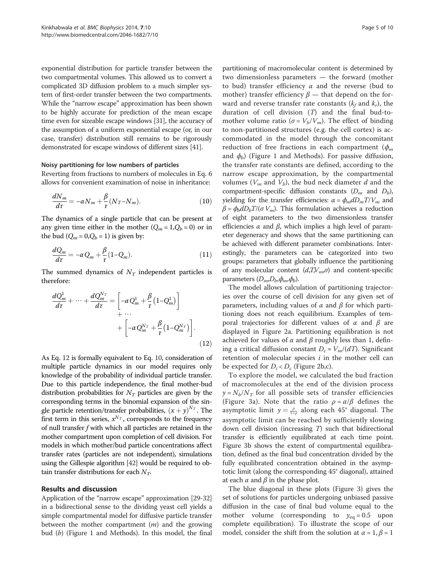exponential distribution for particle transfer between the two compartmental volumes. This allowed us to convert a complicated 3D diffusion problem to a much simpler system of first-order transfer between the two compartments. While the "narrow escape" approximation has been shown to be highly accurate for prediction of the mean escape time even for sizeable escape windows [[31](#page-8-0)], the accuracy of the assumption of a uniform exponential escape (or, in our case, transfer) distribution still remains to be rigorously demonstrated for escape windows of different sizes [\[41\]](#page-9-0).

#### Noisy partitioning for low numbers of particles

Reverting from fractions to numbers of molecules in Eq. [6](#page-3-0) allows for convenient examination of noise in inheritance:

$$
\frac{dN_m}{dt} = -\alpha N_m + \frac{\beta}{\tau} (N_T - N_m). \tag{10}
$$

The dynamics of a single particle that can be present at any given time either in the mother  $(Q_m = 1, Q_b = 0)$  or in the bud  $(Q_m = 0, Q_b = 1)$  is given by:

$$
\frac{dQ_m}{d\tau} = -\alpha Q_m + \frac{\beta}{\tau} (1 - Q_m). \tag{11}
$$

The summed dynamics of  $N<sub>T</sub>$  independent particles is therefore:

$$
\frac{dQ_m^1}{d\tau} + \dots + \frac{dQ_m^{N_T}}{d\tau} = \left[ -\alpha Q_m^1 + \frac{\beta}{\tau} \left( 1 - Q_m^1 \right) \right] + \dots + \left[ -\alpha Q_m^{N_T} + \frac{\beta}{\tau} \left( 1 - Q_m^{N_T} \right) \right].
$$
\n(12)

As Eq. 12 is formally equivalent to Eq. 10, consideration of multiple particle dynamics in our model requires only knowledge of the probability of individual particle transfer. Due to this particle independence, the final mother-bud distribution probabilities for  $N_T$  particles are given by the corresponding terms in the binomial expansion of the single particle retention/transfer probabilities,  $(x + y)^{N_T}$ . The first term in this series,  $x^{N_T}$ , corresponds to the frequency of null transfer  $f$  with which all particles are retained in the mother compartment upon completion of cell division. For models in which mother/bud particle concentrations affect transfer rates (particles are not independent), simulations using the Gillespie algorithm [\[42\]](#page-9-0) would be required to obtain transfer distributions for each  $N_T$ .

## Results and discussion

Application of the "narrow escape" approximation [[29](#page-8-0)-[32](#page-8-0)] in a bidirectional sense to the dividing yeast cell yields a simple compartmental model for diffusive particle transfer between the mother compartment  $(m)$  and the growing bud (b) (Figure [1](#page-1-0) and [Methods\)](#page-2-0). In this model, the final

partitioning of macromolecular content is determined by two dimensionless parameters — the forward (mother to bud) transfer efficiency  $\alpha$  and the reverse (bud to mother) transfer efficiency  $\beta$  — that depend on the forward and reverse transfer rate constants  $(k_f$  and  $k_r$ ), the duration of cell division  $(T)$  and the final bud-tomother volume ratio ( $\sigma = V_b/V_m$ ). The effect of binding to non-partitioned structures (e.g. the cell cortex) is accommodated in the model through the concomitant reduction of free fractions in each compartment ( $\phi_m$ and  $\phi_b$ ) (Figure [1](#page-1-0) and [Methods](#page-2-0)). For passive diffusion, the transfer rate constants are defined, according to the narrow escape approximation, by the compartmental volumes  $(V_m$  and  $V_b)$ , the bud neck diameter d and the compartment-specific diffusion constants  $(D_m$  and  $D_b)$ , yielding for the transfer efficiencies:  $\alpha = \phi_m dD_m T/V_m$  and  $\beta = \phi_b dD_b T/(\sigma V_m)$ . This formulation achieves a reduction of eight parameters to the two dimensionless transfer efficiencies  $\alpha$  and  $\beta$ , which implies a high level of parameter degeneracy and shows that the same partitioning can be achieved with different parameter combinations. Interestingly, the parameters can be categorized into two groups: parameters that globally influence the partitioning of any molecular content  $(d, T, V_m, \sigma)$  and content-specific parameters  $(D_{m}D_{b}, \phi_{m}, \phi_{b})$ .

The model allows calculation of partitioning trajectories over the course of cell division for any given set of parameters, including values of  $\alpha$  and  $\beta$  for which partitioning does not reach equilibrium. Examples of temporal trajectories for different values of  $\alpha$  and  $\beta$  are displayed in Figure [2](#page-5-0)a. Partitioning equilibration is not achieved for values of  $\alpha$  and  $\beta$  roughly less than 1, defining a critical diffusion constant  $D_c \approx V_m/(dT)$ . Significant retention of molecular species  $i$  in the mother cell can be expected for  $D_i < D_c$  (Figure [2](#page-5-0)b,c).

To explore the model, we calculated the bud fraction of macromolecules at the end of the division process  $y = N_b/N_T$  for all possible sets of transfer efficiencies (Figure [3a](#page-6-0)). Note that the ratio  $\rho = \alpha/\beta$  defines the asymptotic limit  $y = \frac{\rho}{1+\rho}$  along each 45° diagonal. The asymptotic limit can be reached by sufficiently slowing down cell division (increasing T) such that bidirectional transfer is efficiently equilibrated at each time point. Figure [3](#page-6-0)b shows the extent of compartmental equilibration, defined as the final bud concentration divided by the fully equilibrated concentration obtained in the asymptotic limit (along the corresponding 45° diagonal), attained at each  $\alpha$  and  $\beta$  in the phase plot.

The blue diagonal in these plots (Figure [3\)](#page-6-0) gives the set of solutions for particles undergoing unbiased passive diffusion in the case of final bud volume equal to the mother volume (corresponding to  $y_{eq} = 0.5$  upon complete equilibration). To illustrate the scope of our model, consider the shift from the solution at  $\alpha = 1, \beta = 1$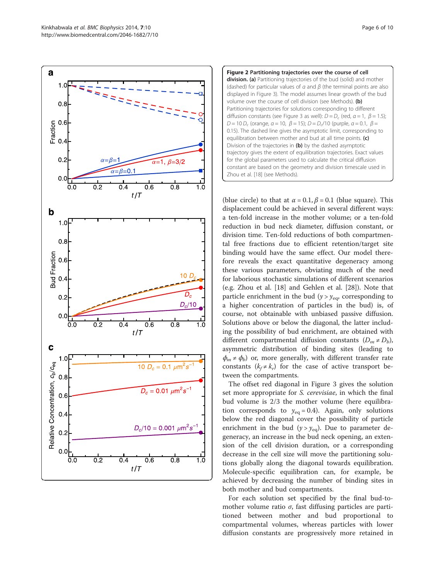<span id="page-5-0"></span>



(blue circle) to that at  $\alpha = 0.1$ ,  $\beta = 0.1$  (blue square). This displacement could be achieved in several different ways: a ten-fold increase in the mother volume; or a ten-fold reduction in bud neck diameter, diffusion constant, or division time. Ten-fold reductions of both compartmental free fractions due to efficient retention/target site binding would have the same effect. Our model therefore reveals the exact quantitative degeneracy among these various parameters, obviating much of the need for laborious stochastic simulations of different scenarios (e.g. Zhou et al. [\[18\]](#page-8-0) and Gehlen et al. [\[28\]](#page-8-0)). Note that particle enrichment in the bud  $(y > y_{eq}$ , corresponding to a higher concentration of particles in the bud) is, of course, not obtainable with unbiased passive diffusion. Solutions above or below the diagonal, the latter including the possibility of bud enrichment, are obtained with different compartmental diffusion constants  $(D_m \neq D_b)$ , asymmetric distribution of binding sites (leading to  $\phi_m \neq \phi_b$ ) or, more generally, with different transfer rate constants  $(k_f \neq k_r)$  for the case of active transport between the compartments.

The offset red diagonal in Figure [3](#page-6-0) gives the solution set more appropriate for S. cerevisiae, in which the final bud volume is 2/3 the mother volume (here equilibration corresponds to  $y_{eq} = 0.4$ ). Again, only solutions below the red diagonal cover the possibility of particle enrichment in the bud  $(y > y_{eq})$ . Due to parameter degeneracy, an increase in the bud neck opening, an extension of the cell division duration, or a corresponding decrease in the cell size will move the partitioning solutions globally along the diagonal towards equilibration. Molecule-specific equilibration can, for example, be achieved by decreasing the number of binding sites in both mother and bud compartments.

For each solution set specified by the final bud-tomother volume ratio  $\sigma$ , fast diffusing particles are partitioned between mother and bud proportional to compartmental volumes, whereas particles with lower diffusion constants are progressively more retained in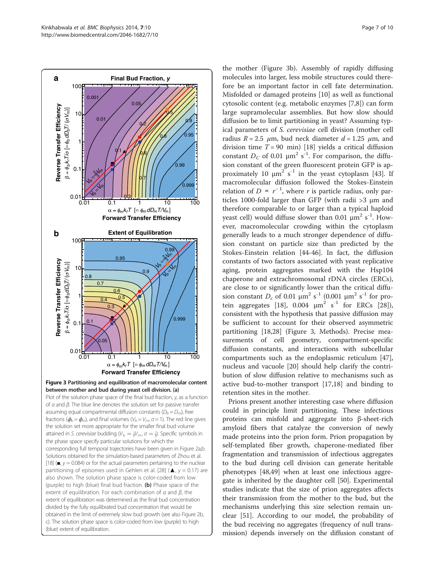**a**

**Reverse Transfer Efficiency**

Reverse Transfer Efficiency

**b**

**Reverse Transfer Efficiency**

Reverse Transfer Efficiency

<span id="page-6-0"></span>

0.01 0.1 1 10 100  $0.01$ **Forward Transfer Efficiency**  $\alpha = \phi_m k_f T$  [=  $\phi_m dD_m T/V_m$ ] Figure 3 Partitioning and equilibration of macromolecular content between mother and bud during yeast cell division. (a) Plot of the solution phase space of the final bud fraction, y, as a function of  $α$  and  $β$ . The blue line denotes the solution set for passive transfer assuming equal compartmental diffusion constants  $(D_b = D_m)$ , free fractions ( $\phi_b = \phi_m$ ), and final volumes ( $V_b = V_m$ ,  $\sigma = 1$ ). The red line gives the solution set more appropriate for the smaller final bud volume attained in S. *cerevisiae* budding ( $V_b = \frac{2}{3}V_m$ ,  $\sigma = \frac{2}{3}$ ). Specific symbols in the phase space specify particular solutions for which the corresponding full temporal trajectories have been given in Figure [2](#page-5-0)a,b. Solutions obtained for the simulation-based parameters of Zhou et al. [[18\]](#page-8-0) ( $\blacksquare$ ,  $y = 0.084$ ) or for the actual parameters pertaining to the nuclear partitioning of episomes used in Gehlen et al. [[28](#page-8-0)] ( $\triangle$ ,  $y = 0.17$ ) are also shown. The solution phase space is color-coded from low (purple) to high (blue) final bud fraction. (b) Phase space of the extent of equilibration. For each combination of  $\alpha$  and  $\beta$ , the extent of equilibration was determined as the final bud concentration divided by the fully equilibrated bud concentration that would be

obtained in the limit of extremely slow bud growth (see also Figure [2](#page-5-0)b, c). The solution phase space is color-coded from low (purple) to high

0.05

 $\overline{0}$ .

(blue) extent of equilibration.

the mother (Figure 3b). Assembly of rapidly diffusing molecules into larger, less mobile structures could therefore be an important factor in cell fate determination. Misfolded or damaged proteins [\[10](#page-8-0)] as well as functional cytosolic content (e.g. metabolic enzymes [\[7,8](#page-8-0)]) can form large supramolecular assemblies. But how slow should diffusion be to limit partitioning in yeast? Assuming typical parameters of S. cerevisiae cell division (mother cell radius  $R = 2.5 \mu m$ , bud neck diameter  $d = 1.25 \mu m$ , and division time  $T = 90$  min) [\[18\]](#page-8-0) yields a critical diffusion constant  $D_C$  of 0.01  $\mu$ m<sup>2</sup> s<sup>-1</sup>. For comparison, the diffusion constant of the green fluorescent protein GFP is approximately 10  $\mu$ m<sup>2</sup> s<sup>-1</sup> in the yeast cytoplasm [[43\]](#page-9-0). If macromolecular diffusion followed the Stokes-Einstein relation of  $D \propto r^{-1}$ , where r is particle radius, only particles 1000-fold larger than GFP (with radii >3 μm and therefore comparable to or larger than a typical haploid yeast cell) would diffuse slower than 0.01  $\mu$ m<sup>2</sup> s<sup>-1</sup>. However, macromolecular crowding within the cytoplasm generally leads to a much stronger dependence of diffusion constant on particle size than predicted by the Stokes-Einstein relation [\[44](#page-9-0)-[46](#page-9-0)]. In fact, the diffusion constants of two factors associated with yeast replicative aging, protein aggregates marked with the Hsp104 chaperone and extrachromosomal rDNA circles (ERCs), are close to or significantly lower than the critical diffusion constant  $D_c$  of 0.01  $\mu$ m<sup>2</sup> s<sup>-1</sup> (0.001  $\mu$ m<sup>2</sup> s<sup>-1</sup> for pro-tein aggregates [\[18\]](#page-8-0),  $0.004 \, \mu m^2 \, s^{-1}$  for ERCs [\[28](#page-8-0)]), consistent with the hypothesis that passive diffusion may be sufficient to account for their observed asymmetric partitioning [\[18,28\]](#page-8-0) (Figure 3, [Methods\)](#page-2-0). Precise measurements of cell geometry, compartment-specific diffusion constants, and interactions with subcellular compartments such as the endoplasmic reticulum [\[47](#page-9-0)], nucleus and vacuole [\[20](#page-8-0)] should help clarify the contribution of slow diffusion relative to mechanisms such as active bud-to-mother transport [[17](#page-8-0),[18](#page-8-0)] and binding to retention sites in the mother.

Prions present another interesting case where diffusion could in principle limit partitioning. These infectious proteins can misfold and aggregate into β-sheet-rich amyloid fibers that catalyze the conversion of newly made proteins into the prion form. Prion propagation by self-templated fiber growth, chaperone-mediated fiber fragmentation and transmission of infectious aggregates to the bud during cell division can generate heritable phenotypes [[48,49\]](#page-9-0) when at least one infectious aggregate is inherited by the daughter cell [[50](#page-9-0)]. Experimental studies indicate that the size of prion aggregates affects their transmission from the mother to the bud, but the mechanisms underlying this size selection remain unclear [\[51](#page-9-0)]. According to our model, the probability of the bud receiving no aggregates (frequency of null transmission) depends inversely on the diffusion constant of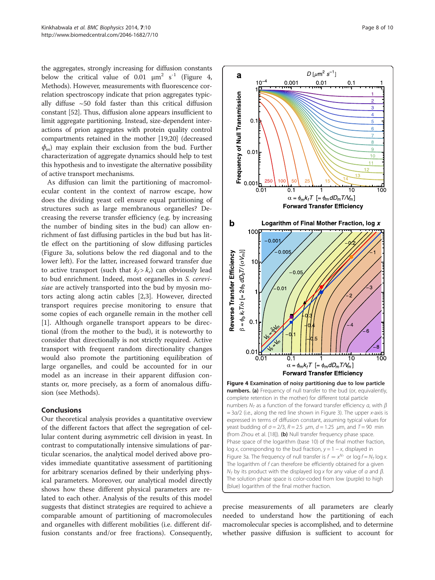the aggregates, strongly increasing for diffusion constants below the critical value of 0.01  $\mu$ m<sup>2</sup> s<sup>-1</sup> (Figure 4, [Methods](#page-2-0)). However, measurements with fluorescence correlation spectroscopy indicate that prion aggregates typically diffuse  $~50$  fold faster than this critical diffusion constant [[52](#page-9-0)]. Thus, diffusion alone appears insufficient to limit aggregate partitioning. Instead, size-dependent interactions of prion aggregates with protein quality control compartments retained in the mother [[19,20](#page-8-0)] (decreased  $\phi_m$ ) may explain their exclusion from the bud. Further characterization of aggregate dynamics should help to test this hypothesis and to investigate the alternative possibility of active transport mechanisms.

As diffusion can limit the partitioning of macromolecular content in the context of narrow escape, how does the dividing yeast cell ensure equal partitioning of structures such as large membranous organelles? Decreasing the reverse transfer efficiency (e.g. by increasing the number of binding sites in the bud) can allow enrichment of fast diffusing particles in the bud but has little effect on the partitioning of slow diffusing particles (Figure [3a](#page-6-0), solutions below the red diagonal and to the lower left). For the latter, increased forward transfer due to active transport (such that  $k_f > k_r$ ) can obviously lead to bud enrichment. Indeed, most organelles in S. cerevisiae are actively transported into the bud by myosin motors acting along actin cables [\[2,3\]](#page-8-0). However, directed transport requires precise monitoring to ensure that some copies of each organelle remain in the mother cell [[1\]](#page-8-0). Although organelle transport appears to be directional (from the mother to the bud), it is noteworthy to consider that directionally is not strictly required. Active transport with frequent random directionality changes would also promote the partitioning equilibration of large organelles, and could be accounted for in our model as an increase in their apparent diffusion constants or, more precisely, as a form of anomalous diffusion (see [Methods](#page-2-0)).

## Conclusions

Our theoretical analysis provides a quantitative overview of the different factors that affect the segregation of cellular content during asymmetric cell division in yeast. In contrast to computationally intensive simulations of particular scenarios, the analytical model derived above provides immediate quantitative assessment of partitioning for arbitrary scenarios defined by their underlying physical parameters. Moreover, our analytical model directly shows how these different physical parameters are related to each other. Analysis of the results of this model suggests that distinct strategies are required to achieve a comparable amount of partitioning of macromolecules and organelles with different mobilities (i.e. different diffusion constants and/or free fractions). Consequently,



precise measurements of all parameters are clearly needed to understand how the partitioning of each macromolecular species is accomplished, and to determine whether passive diffusion is sufficient to account for

(blue) logarithm of the final mother fraction.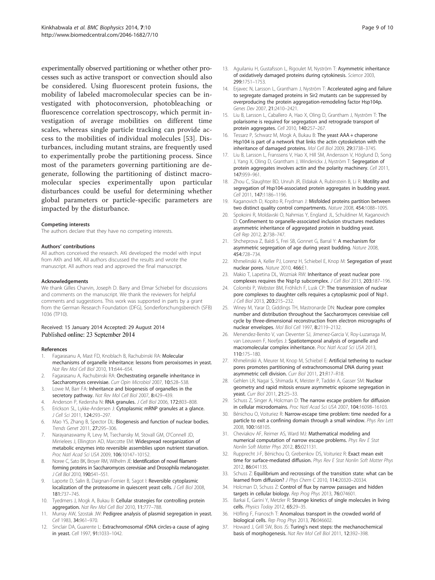<span id="page-8-0"></span>experimentally observed partitioning or whether other processes such as active transport or convection should also be considered. Using fluorescent protein fusions, the mobility of labeled macromolecular species can be investigated with photoconversion, photobleaching or fluorescence correlation spectroscopy, which permit investigation of average mobilities on different time scales, whereas single particle tracking can provide access to the mobilities of individual molecules [\[53](#page-9-0)]. Disturbances, including mutant strains, are frequently used to experimentally probe the partitioning process. Since most of the parameters governing partitioning are degenerate, following the partitioning of distinct macromolecular species experimentally upon particular disturbances could be useful for determining whether global parameters or particle-specific parameters are impacted by the disturbance.

#### Competing interests

The authors declare that they have no competing interests.

#### Authors' contributions

All authors conceived the research. AKi developed the model with input from AKh and MK. All authors discussed the results and wrote the manuscript. All authors read and approved the final manuscript.

#### Acknowledgements

We thank Gilles Charvin, Joseph D. Barry and Elmar Schiebel for discussions and comments on the manuscript. We thank the reviewers for helpful comments and suggestions. This work was supported in parts by a grant from the German Research Foundation (DFG), Sonderforschungsbereich (SFB) 1036 (TP10).

#### Received: 15 January 2014 Accepted: 29 August 2014 Published online: 23 September 2014

#### References

- 1. Fagarasanu A, Mast FD, Knoblach B, Rachubinski RA: Molecular mechanisms of organelle inheritance: lessons from peroxisomes in yeast. Nat Rev Mol Cell Biol 2010, 11:644–654.
- 2. Fagarasanu A, Rachubinski RA: Orchestrating organelle inheritance in Saccharomyces cerevisiae. Curr Opin Microbiol 2007, 10:528-538.
- 3. Lowe M, Barr FA: Inheritance and biogenesis of organelles in the secretory pathway. Nat Rev Mol Cell Biol 2007, 8:429-439.
- 4. Anderson P, Kedersha N: RNA granules. J Cell Biol 2006, 172:803–808.
- 5. Erickson SL, Lykke-Andersen J: Cytoplasmic mRNP granules at a glance. J Cell Sci 2011, 124:293–297.
- 6. Mao YS, Zhang B, Spector DL: Biogenesis and function of nuclear bodies. Trends Genet 2011, 27:295–306.
- 7. Narayanaswamy R, Levy M, Tsechansky M, Stovall GM, O'Connell JD, Mirrielees J, Ellington AD, Marcotte EM: Widespread reorganization of metabolic enzymes into reversible assemblies upon nutrient starvation. Proc Natl Acad Sci USA 2009, 106:10147–10152.
- 8. Noree C, Sato BK, Broyer RM, Wilhelm JE: Identification of novel filamentforming proteins in Saccharomyces cerevisiae and Drosophila melanogaster. J Cell Biol 2010, 190:541–551.
- 9. Laporte D, Salin B, Daignan-Fornier B, Sagot I: Reversible cytoplasmic localization of the proteasome in quiescent yeast cells. J Cell Biol 2008, 181:737–745.
- 10. Tyedmers J, Mogk A, Bukau B: Cellular strategies for controlling protein aggregation. Nat Rev Mol Cell Biol 2010, 11:777–788.
- 11. Murray AW, Szostak JW: Pedigree analysis of plasmid segregation in yeast. Cell 1983, 34:961–970.
- 12. Sinclair DA, Guarente L: Extrachromosomal rDNA circles-a cause of aging in yeast. Cell 1997, 91:1033–1042.
- 13. Aguilaniu H, Gustafsson L, Rigoulet M, Nyström T: Asymmetric inheritance of oxidatively damaged proteins during cytokinesis. Science 2003, 299:1751–1753.
- 14. Erjavec N, Larsson L, Grantham J, Nyström T: Accelerated aging and failure to segregate damaged proteins in Sir2 mutants can be suppressed by overproducing the protein aggregation-remodeling factor Hsp104p. Genes Dev 2007, 21:2410–2421.
- 15. Liu B, Larsson L, Caballero A, Hao X, Oling D, Grantham J, Nyström T: The polarisome is required for segregation and retrograde transport of protein aggregates. Cell 2010, 140:257–267.
- 16. Tessarz P, Schwarz M, Mogk A, Bukau B: The yeast AAA + chaperone Hsp104 is part of a network that links the actin cytoskeleton with the inheritance of damaged proteins. Mol Cell Biol 2009, 29:3738–3745.
- 17. Liu B, Larsson L, Franssens V, Hao X, Hill SM, Andersson V, Höglund D, Song J, Yang X, Oling D, Grantham J, Winderickx J, Nyström T: Segregation of protein aggregates involves actin and the polarity machinery. Cell 2011, 147:959–961.
- 18. Zhou C, Slaughter BD, Unruh JR, Eldakak A, Rubinstein B, Li R: Motility and segregation of Hsp104-associated protein aggregates in budding yeast. Cell 2011, 147:1186–1196.
- 19. Kaganovich D, Kopito R, Frydman J: Misfolded proteins partition between two distinct quality control compartments. Nature 2008, 454:1088–1095.
- 20. Spokoini R, Moldavski O, Nahmias Y, England JL, Schuldiner M, Kaganovich D: Confinement to organelle-associated inclusion structures mediates asymmetric inheritance of aggregated protein in budding yeast. Cell Rep 2012, 2:738–747.
- 21. Shcheprova Z, Baldi S, Frei SB, Gonnet G, Barral Y: A mechanism for asymmetric segregation of age during yeast budding. Nature 2008, 454:728–734.
- 22. Khmelinskii A, Keller PJ, Lorenz H, Schiebel E, Knop M: Segregation of yeast nuclear pores. Nature 2010, 466:E1.
- 23. Makio T, Lapetina DL, Wozniak RW: Inheritance of yeast nuclear pore complexes requires the Nsp1p subcomplex. J Cell Biol 2013, 203:187-196.
- 24. Colombi P, Webster BM, Fröhlich F, Lusk CP: The transmission of nuclear pore complexes to daughter cells requires a cytoplasmic pool of Nsp1. J Cell Biol 2013, 203:215–232.
- 25. Winey M, Yarar D, Giddings TH, Mastronarde DN: Nuclear pore complex number and distribution throughout the Saccharomyces cerevisiae cell cycle by three-dimensional reconstruction from electron micrographs of nuclear envelopes. Mol Biol Cell 1997, 8:2119–2132.
- 26. Menendez-Benito V, van Deventer SJ, Jimenez-Garcia V, Roy-Luzarraga M, van Leeuwen F, Neefjes J: Spatiotemporal analysis of organelle and macromolecular complex inheritance. Proc Natl Acad Sci USA 2013, 110:175–180.
- 27. Khmelinskii A, Meurer M, Knop M, Schiebel E: Artificial tethering to nuclear pores promotes partitioning of extrachromosomal DNA during yeast asymmetric cell division. Curr Biol 2011, 21:R17–R18.
- 28. Gehlen LR, Nagai S, Shimada K, Meister P, Taddei A, Gasser SM: Nuclear geometry and rapid mitosis ensure asymmetric episome segregation in yeast. Curr Biol 2011, 21:25-33.
- 29. Schuss Z, Singer A, Holcman D: The narrow escape problem for diffusion in cellular microdomains. Proc Natl Acad Sci USA 2007, 104:16098–16103.
- 30. Bénichou O, Voituriez R: Narrow-escape time problem: time needed for a particle to exit a confining domain through a small window. Phys Rev Lett 2008, 100:168105.
- 31. Cheviakov AF, Reimer AS, Ward MJ: Mathematical modeling and numerical computation of narrow escape problems. Phys Rev E Stat Nonlin Soft Matter Phys 2012, 85:021131.
- 32. Rupprecht J-F, Bénichou O, Grebenkov DS, Voituriez R: Exact mean exit time for surface-mediated diffusion. Phys Rev E Stat Nonlin Soft Matter Phys 2012, 86:041135.
- 33. Schuss Z: Equilibrium and recrossings of the transition state: what can be learned from diffusion? J Phys Chem C 2010, 114:20320–20334.
- 34. Holcman D, Schuss Z: Control of flux by narrow passages and hidden targets in cellular biology. Rep Prog Phys 2013, 76:074601.
- 35. Barkai E, Garini Y, Metzler R: Strange kinetics of single molecules in living cells. Physics Today 2012, 65:29–35.
- 36. Höfling F, Franosch T: Anomalous transport in the crowded world of biological cells. Rep Prog Phys 2013, 76:046602.
- 37. Howard J, Grill SW, Bois JS: Turing's next steps: the mechanochemical basis of morphogenesis. Nat Rev Mol Cell Biol 2011, 12:392–398.